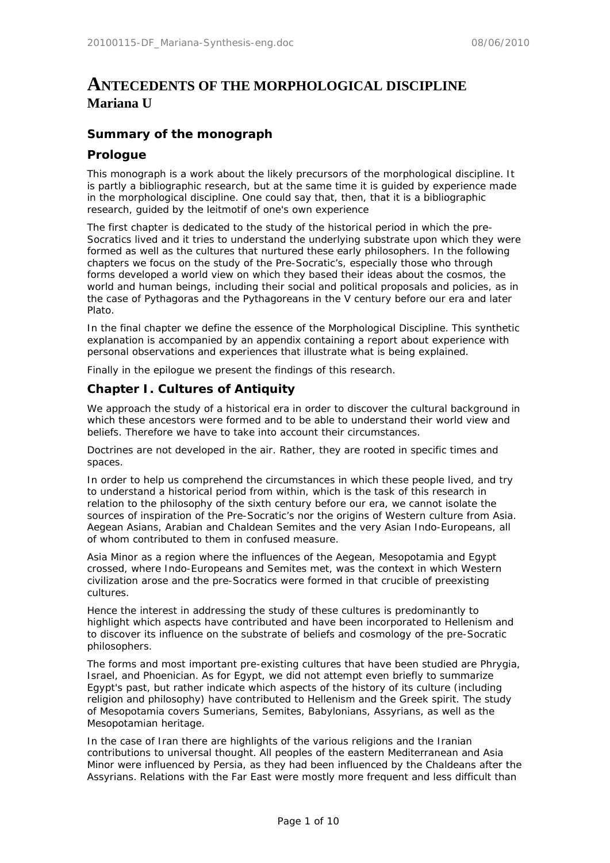# **ANTECEDENTS OF THE MORPHOLOGICAL DISCIPLINE Mariana U**

# **Summary of the monograph**

# **Prologue**

This monograph is a work about the likely precursors of the morphological discipline. It is partly a bibliographic research, but at the same time it is guided by experience made in the morphological discipline. One could say that, then, that it is a bibliographic research, guided by the leitmotif of one's own experience

The first chapter is dedicated to the study of the historical period in which the pre-Socratics lived and it tries to understand the underlying substrate upon which they were formed as well as the cultures that nurtured these early philosophers. In the following chapters we focus on the study of the Pre-Socratic's, especially those who through forms developed a world view on which they based their ideas about the cosmos, the world and human beings, including their social and political proposals and policies, as in the case of Pythagoras and the Pythagoreans in the V century before our era and later Plato.

In the final chapter we define the essence of the Morphological Discipline. This synthetic explanation is accompanied by an appendix containing a report about experience with personal observations and experiences that illustrate what is being explained.

Finally in the epilogue we present the findings of this research.

# **Chapter I. Cultures of Antiquity**

We approach the study of a historical era in order to discover the cultural background in which these ancestors were formed and to be able to understand their world view and beliefs. Therefore we have to take into account their circumstances.

Doctrines are not developed in the air. Rather, they are rooted in specific times and spaces.

In order to help us comprehend the circumstances in which these people lived, and try to understand a historical period from within, which is the task of this research in relation to the philosophy of the sixth century before our era, we cannot isolate the sources of inspiration of the Pre-Socratic's nor the origins of Western culture from Asia. Aegean Asians, Arabian and Chaldean Semites and the very Asian Indo-Europeans, all of whom contributed to them in confused measure.

Asia Minor as a region where the influences of the Aegean, Mesopotamia and Egypt crossed, where Indo-Europeans and Semites met, was the context in which Western civilization arose and the pre-Socratics were formed in that crucible of preexisting cultures.

Hence the interest in addressing the study of these cultures is predominantly to highlight which aspects have contributed and have been incorporated to Hellenism and to discover its influence on the substrate of beliefs and cosmology of the pre-Socratic philosophers.

The forms and most important pre-existing cultures that have been studied are Phrygia, Israel, and Phoenician. As for Egypt, we did not attempt even briefly to summarize Egypt's past, but rather indicate which aspects of the history of its culture (including religion and philosophy) have contributed to Hellenism and the Greek spirit. The study of Mesopotamia covers Sumerians, Semites, Babylonians, Assyrians, as well as the Mesopotamian heritage.

In the case of Iran there are highlights of the various religions and the Iranian contributions to universal thought. All peoples of the eastern Mediterranean and Asia Minor were influenced by Persia, as they had been influenced by the Chaldeans after the Assyrians. Relations with the Far East were mostly more frequent and less difficult than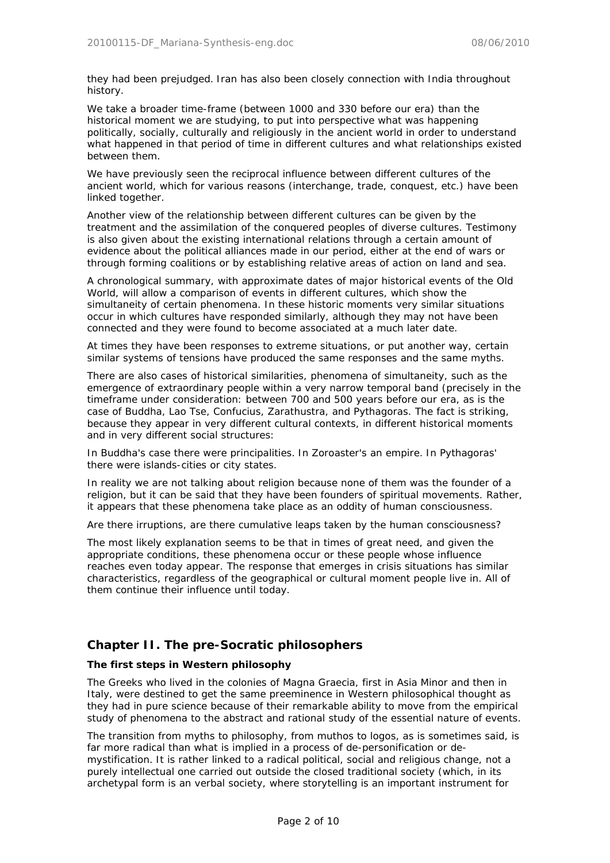they had been prejudged. Iran has also been closely connection with India throughout history.

We take a broader time-frame (between 1000 and 330 before our era) than the historical moment we are studying, to put into perspective what was happening politically, socially, culturally and religiously in the ancient world in order to understand what happened in that period of time in different cultures and what relationships existed between them.

We have previously seen the reciprocal influence between different cultures of the ancient world, which for various reasons (interchange, trade, conquest, etc.) have been linked together.

Another view of the relationship between different cultures can be given by the treatment and the assimilation of the conquered peoples of diverse cultures. Testimony is also given about the existing international relations through a certain amount of evidence about the political alliances made in our period, either at the end of wars or through forming coalitions or by establishing relative areas of action on land and sea.

A chronological summary, with approximate dates of major historical events of the Old World, will allow a comparison of events in different cultures, which show the simultaneity of certain phenomena. In these historic moments very similar situations occur in which cultures have responded similarly, although they may not have been connected and they were found to become associated at a much later date.

At times they have been responses to extreme situations, or put another way, certain similar systems of tensions have produced the same responses and the same myths.

There are also cases of historical similarities, phenomena of simultaneity, such as the emergence of extraordinary people within a very narrow temporal band (precisely in the timeframe under consideration: between 700 and 500 years before our era, as is the case of Buddha, Lao Tse, Confucius, Zarathustra, and Pythagoras. The fact is striking, because they appear in very different cultural contexts, in different historical moments and in very different social structures:

In Buddha's case there were principalities. In Zoroaster's an empire. In Pythagoras' there were islands-cities or city states.

In reality we are not talking about religion because none of them was the founder of a religion, but it can be said that they have been founders of spiritual movements. Rather, it appears that these phenomena take place as an oddity of human consciousness.

Are there irruptions, are there cumulative leaps taken by the human consciousness?

The most likely explanation seems to be that in times of great need, and given the appropriate conditions, these phenomena occur or these people whose influence reaches even today appear. The response that emerges in crisis situations has similar characteristics, regardless of the geographical or cultural moment people live in. All of them continue their influence until today.

# **Chapter II. The pre-Socratic philosophers**

### **The first steps in Western philosophy**

The Greeks who lived in the colonies of Magna Graecia, first in Asia Minor and then in Italy, were destined to get the same preeminence in Western philosophical thought as they had in pure science because of their remarkable ability to move from the empirical study of phenomena to the abstract and rational study of the essential nature of events.

The transition from myths to philosophy, from muthos to logos, as is sometimes said, is far more radical than what is implied in a process of de-personification or demystification. It is rather linked to a radical political, social and religious change, not a purely intellectual one carried out outside the closed traditional society (which, in its archetypal form is an verbal society, where storytelling is an important instrument for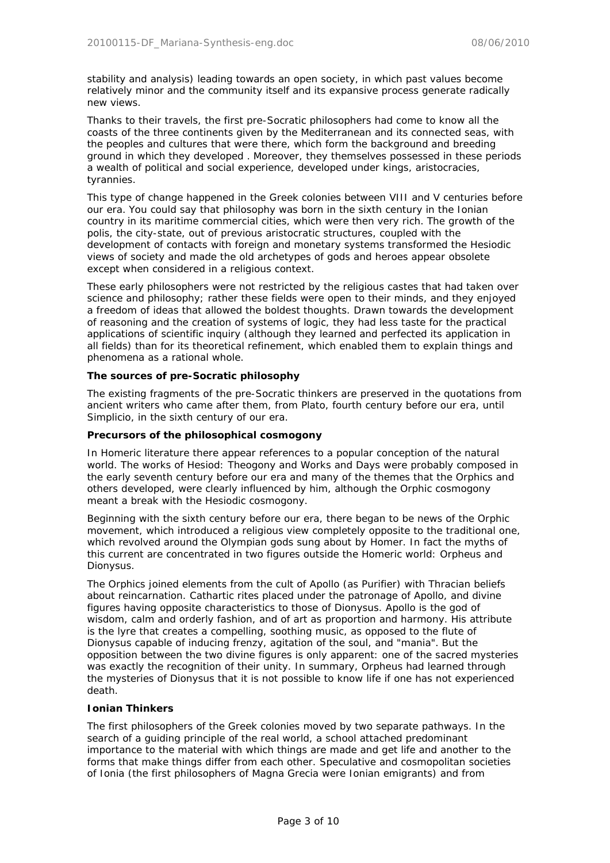stability and analysis) leading towards an open society, in which past values become relatively minor and the community itself and its expansive process generate radically new views.

Thanks to their travels, the first pre-Socratic philosophers had come to know all the coasts of the three continents given by the Mediterranean and its connected seas, with the peoples and cultures that were there, which form the background and breeding ground in which they developed . Moreover, they themselves possessed in these periods a wealth of political and social experience, developed under kings, aristocracies, tyrannies.

This type of change happened in the Greek colonies between VIII and V centuries before our era. You could say that philosophy was born in the sixth century in the Ionian country in its maritime commercial cities, which were then very rich. The growth of the polis, the city-state, out of previous aristocratic structures, coupled with the development of contacts with foreign and monetary systems transformed the Hesiodic views of society and made the old archetypes of gods and heroes appear obsolete except when considered in a religious context.

These early philosophers were not restricted by the religious castes that had taken over science and philosophy; rather these fields were open to their minds, and they enjoyed a freedom of ideas that allowed the boldest thoughts. Drawn towards the development of reasoning and the creation of systems of logic, they had less taste for the practical applications of scientific inquiry (although they learned and perfected its application in all fields) than for its theoretical refinement, which enabled them to explain things and phenomena as a rational whole.

### **The sources of pre-Socratic philosophy**

The existing fragments of the pre-Socratic thinkers are preserved in the quotations from ancient writers who came after them, from Plato, fourth century before our era, until Simplicio, in the sixth century of our era.

# **Precursors of the philosophical cosmogony**

In Homeric literature there appear references to a popular conception of the natural world. The works of Hesiod: Theogony and Works and Days were probably composed in the early seventh century before our era and many of the themes that the Orphics and others developed, were clearly influenced by him, although the Orphic cosmogony meant a break with the Hesiodic cosmogony.

Beginning with the sixth century before our era, there began to be news of the Orphic movement, which introduced a religious view completely opposite to the traditional one, which revolved around the Olympian gods sung about by Homer. In fact the myths of this current are concentrated in two figures outside the Homeric world: Orpheus and Dionysus.

The Orphics joined elements from the cult of Apollo (as Purifier) with Thracian beliefs about reincarnation. Cathartic rites placed under the patronage of Apollo, and divine figures having opposite characteristics to those of Dionysus. Apollo is the god of wisdom, calm and orderly fashion, and of art as proportion and harmony. His attribute is the lyre that creates a compelling, soothing music, as opposed to the flute of Dionysus capable of inducing frenzy, agitation of the soul, and "mania". But the opposition between the two divine figures is only apparent: one of the sacred mysteries was exactly the recognition of their unity. In summary, Orpheus had learned through the mysteries of Dionysus that it is not possible to know life if one has not experienced death.

#### **Ionian Thinkers**

The first philosophers of the Greek colonies moved by two separate pathways. In the search of a guiding principle of the real world, a school attached predominant importance to the material with which things are made and get life and another to the forms that make things differ from each other. Speculative and cosmopolitan societies of Ionia (the first philosophers of Magna Grecia were Ionian emigrants) and from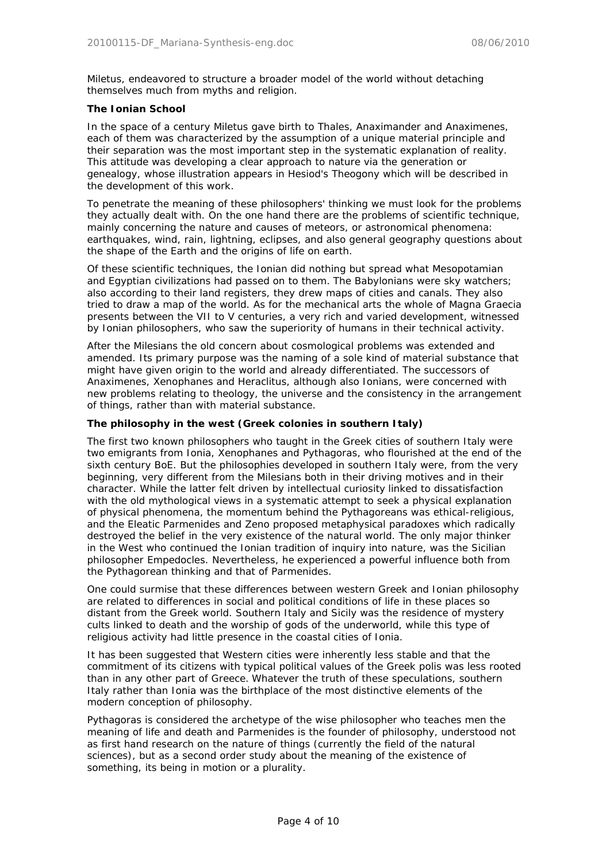Miletus, endeavored to structure a broader model of the world without detaching themselves much from myths and religion.

#### **The Ionian School**

In the space of a century Miletus gave birth to Thales, Anaximander and Anaximenes, each of them was characterized by the assumption of a unique material principle and their separation was the most important step in the systematic explanation of reality. This attitude was developing a clear approach to nature via the generation or genealogy, whose illustration appears in Hesiod's Theogony which will be described in the development of this work.

To penetrate the meaning of these philosophers' thinking we must look for the problems they actually dealt with. On the one hand there are the problems of scientific technique, mainly concerning the nature and causes of meteors, or astronomical phenomena: earthquakes, wind, rain, lightning, eclipses, and also general geography questions about the shape of the Earth and the origins of life on earth.

Of these scientific techniques, the Ionian did nothing but spread what Mesopotamian and Egyptian civilizations had passed on to them. The Babylonians were sky watchers; also according to their land registers, they drew maps of cities and canals. They also tried to draw a map of the world. As for the mechanical arts the whole of Magna Graecia presents between the VII to V centuries, a very rich and varied development, witnessed by Ionian philosophers, who saw the superiority of humans in their technical activity.

After the Milesians the old concern about cosmological problems was extended and amended. Its primary purpose was the naming of a sole kind of material substance that might have given origin to the world and already differentiated. The successors of Anaximenes, Xenophanes and Heraclitus, although also Ionians, were concerned with new problems relating to theology, the universe and the consistency in the arrangement of things, rather than with material substance.

# **The philosophy in the west (Greek colonies in southern Italy)**

The first two known philosophers who taught in the Greek cities of southern Italy were two emigrants from Ionia, Xenophanes and Pythagoras, who flourished at the end of the sixth century BoE. But the philosophies developed in southern Italy were, from the very beginning, very different from the Milesians both in their driving motives and in their character. While the latter felt driven by intellectual curiosity linked to dissatisfaction with the old mythological views in a systematic attempt to seek a physical explanation of physical phenomena, the momentum behind the Pythagoreans was ethical-religious, and the Eleatic Parmenides and Zeno proposed metaphysical paradoxes which radically destroyed the belief in the very existence of the natural world. The only major thinker in the West who continued the Ionian tradition of inquiry into nature, was the Sicilian philosopher Empedocles. Nevertheless, he experienced a powerful influence both from the Pythagorean thinking and that of Parmenides.

One could surmise that these differences between western Greek and Ionian philosophy are related to differences in social and political conditions of life in these places so distant from the Greek world. Southern Italy and Sicily was the residence of mystery cults linked to death and the worship of gods of the underworld, while this type of religious activity had little presence in the coastal cities of Ionia.

It has been suggested that Western cities were inherently less stable and that the commitment of its citizens with typical political values of the Greek polis was less rooted than in any other part of Greece. Whatever the truth of these speculations, southern Italy rather than Ionia was the birthplace of the most distinctive elements of the modern conception of philosophy.

Pythagoras is considered the archetype of the wise philosopher who teaches men the meaning of life and death and Parmenides is the founder of philosophy, understood not as first hand research on the nature of things (currently the field of the natural sciences), but as a second order study about the meaning of the existence of something, its being in motion or a plurality.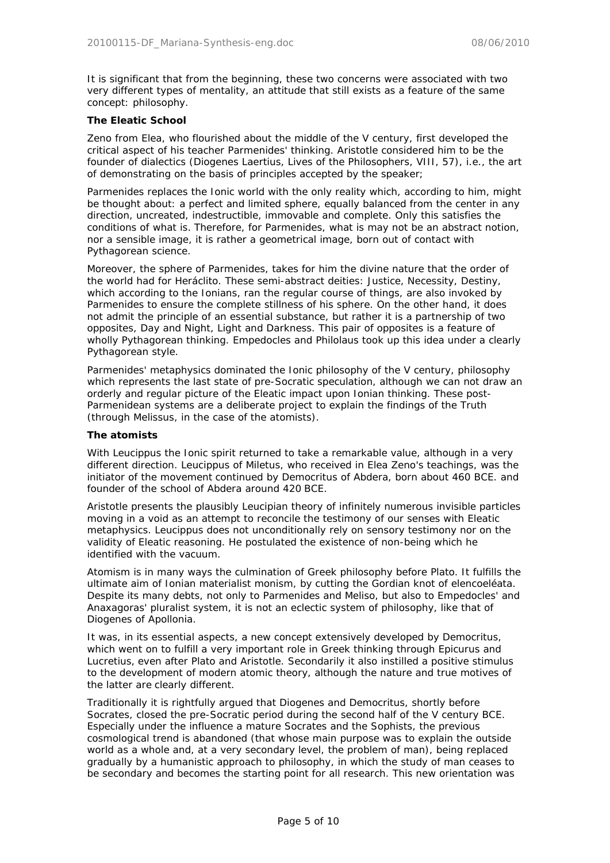It is significant that from the beginning, these two concerns were associated with two very different types of mentality, an attitude that still exists as a feature of the same concept: philosophy.

#### **The Eleatic School**

Zeno from Elea, who flourished about the middle of the V century, first developed the critical aspect of his teacher Parmenides' thinking. Aristotle considered him to be the founder of dialectics (Diogenes Laertius, Lives of the Philosophers, VIII, 57), i.e., the art of demonstrating on the basis of principles accepted by the speaker;

Parmenides replaces the Ionic world with the only reality which, according to him, might be thought about: a perfect and limited sphere, equally balanced from the center in any direction, uncreated, indestructible, immovable and complete. Only this satisfies the conditions of what is. Therefore, for Parmenides, what is may not be an abstract notion, nor a sensible image, it is rather a geometrical image, born out of contact with Pythagorean science.

Moreover, the sphere of Parmenides, takes for him the divine nature that the order of the world had for Heráclito. These semi-abstract deities: Justice, Necessity, Destiny, which according to the Ionians, ran the regular course of things, are also invoked by Parmenides to ensure the complete stillness of his sphere. On the other hand, it does not admit the principle of an essential substance, but rather it is a partnership of two opposites, Day and Night, Light and Darkness. This pair of opposites is a feature of wholly Pythagorean thinking. Empedocles and Philolaus took up this idea under a clearly Pythagorean style.

Parmenides' metaphysics dominated the Ionic philosophy of the V century, philosophy which represents the last state of pre-Socratic speculation, although we can not draw an orderly and regular picture of the Eleatic impact upon Ionian thinking. These post-Parmenidean systems are a deliberate project to explain the findings of the Truth (through Melissus, in the case of the atomists).

#### **The atomists**

With Leucippus the Ionic spirit returned to take a remarkable value, although in a very different direction. Leucippus of Miletus, who received in Elea Zeno's teachings, was the initiator of the movement continued by Democritus of Abdera, born about 460 BCE. and founder of the school of Abdera around 420 BCE.

Aristotle presents the plausibly Leucipian theory of infinitely numerous invisible particles moving in a void as an attempt to reconcile the testimony of our senses with Eleatic metaphysics. Leucippus does not unconditionally rely on sensory testimony nor on the validity of Eleatic reasoning. He postulated the existence of non-being which he identified with the vacuum.

Atomism is in many ways the culmination of Greek philosophy before Plato. It fulfills the ultimate aim of Ionian materialist monism, by cutting the Gordian knot of elencoeléata. Despite its many debts, not only to Parmenides and Meliso, but also to Empedocles' and Anaxagoras' pluralist system, it is not an eclectic system of philosophy, like that of Diogenes of Apollonia.

It was, in its essential aspects, a new concept extensively developed by Democritus, which went on to fulfill a very important role in Greek thinking through Epicurus and Lucretius, even after Plato and Aristotle. Secondarily it also instilled a positive stimulus to the development of modern atomic theory, although the nature and true motives of the latter are clearly different.

Traditionally it is rightfully argued that Diogenes and Democritus, shortly before Socrates, closed the pre-Socratic period during the second half of the V century BCE. Especially under the influence a mature Socrates and the Sophists, the previous cosmological trend is abandoned (that whose main purpose was to explain the outside world as a whole and, at a very secondary level, the problem of man), being replaced gradually by a humanistic approach to philosophy, in which the study of man ceases to be secondary and becomes the starting point for all research. This new orientation was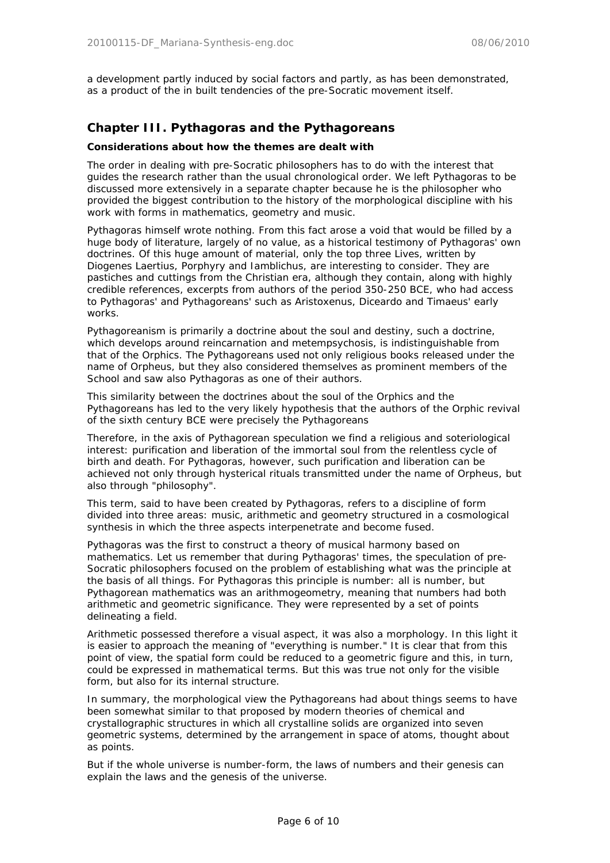a development partly induced by social factors and partly, as has been demonstrated, as a product of the in built tendencies of the pre-Socratic movement itself.

# **Chapter III. Pythagoras and the Pythagoreans**

### **Considerations about how the themes are dealt with**

The order in dealing with pre-Socratic philosophers has to do with the interest that guides the research rather than the usual chronological order. We left Pythagoras to be discussed more extensively in a separate chapter because he is the philosopher who provided the biggest contribution to the history of the morphological discipline with his work with forms in mathematics, geometry and music.

Pythagoras himself wrote nothing. From this fact arose a void that would be filled by a huge body of literature, largely of no value, as a historical testimony of Pythagoras' own doctrines. Of this huge amount of material, only the top three Lives, written by Diogenes Laertius, Porphyry and Iamblichus, are interesting to consider. They are pastiches and cuttings from the Christian era, although they contain, along with highly credible references, excerpts from authors of the period 350-250 BCE, who had access to Pythagoras' and Pythagoreans' such as Aristoxenus, Diceardo and Timaeus' early works.

Pythagoreanism is primarily a doctrine about the soul and destiny, such a doctrine, which develops around reincarnation and metempsychosis, is indistinguishable from that of the Orphics. The Pythagoreans used not only religious books released under the name of Orpheus, but they also considered themselves as prominent members of the School and saw also Pythagoras as one of their authors.

This similarity between the doctrines about the soul of the Orphics and the Pythagoreans has led to the very likely hypothesis that the authors of the Orphic revival of the sixth century BCE were precisely the Pythagoreans

Therefore, in the axis of Pythagorean speculation we find a religious and soteriological interest: purification and liberation of the immortal soul from the relentless cycle of birth and death. For Pythagoras, however, such purification and liberation can be achieved not only through hysterical rituals transmitted under the name of Orpheus, but also through "philosophy".

This term, said to have been created by Pythagoras, refers to a discipline of form divided into three areas: music, arithmetic and geometry structured in a cosmological synthesis in which the three aspects interpenetrate and become fused.

Pythagoras was the first to construct a theory of musical harmony based on mathematics. Let us remember that during Pythagoras' times, the speculation of pre-Socratic philosophers focused on the problem of establishing what was the principle at the basis of all things. For Pythagoras this principle is number: all is number, but Pythagorean mathematics was an arithmogeometry, meaning that numbers had both arithmetic and geometric significance. They were represented by a set of points delineating a field.

Arithmetic possessed therefore a visual aspect, it was also a morphology. In this light it is easier to approach the meaning of "everything is number." It is clear that from this point of view, the spatial form could be reduced to a geometric figure and this, in turn, could be expressed in mathematical terms. But this was true not only for the visible form, but also for its internal structure.

In summary, the morphological view the Pythagoreans had about things seems to have been somewhat similar to that proposed by modern theories of chemical and crystallographic structures in which all crystalline solids are organized into seven geometric systems, determined by the arrangement in space of atoms, thought about as points.

But if the whole universe is number-form, the laws of numbers and their genesis can explain the laws and the genesis of the universe.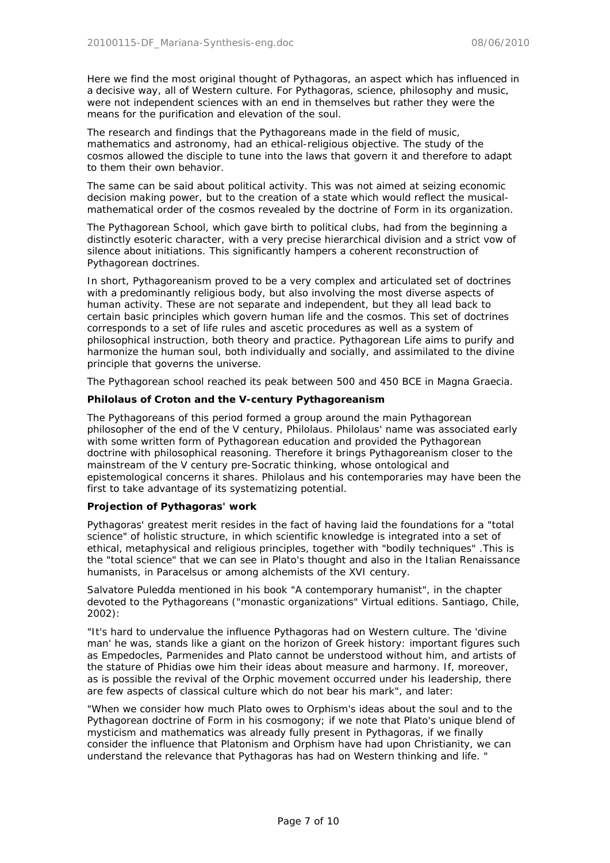Here we find the most original thought of Pythagoras, an aspect which has influenced in a decisive way, all of Western culture. For Pythagoras, science, philosophy and music, were not independent sciences with an end in themselves but rather they were the means for the purification and elevation of the soul.

The research and findings that the Pythagoreans made in the field of music, mathematics and astronomy, had an ethical-religious objective. The study of the cosmos allowed the disciple to tune into the laws that govern it and therefore to adapt to them their own behavior.

The same can be said about political activity. This was not aimed at seizing economic decision making power, but to the creation of a state which would reflect the musicalmathematical order of the cosmos revealed by the doctrine of Form in its organization.

The Pythagorean School, which gave birth to political clubs, had from the beginning a distinctly esoteric character, with a very precise hierarchical division and a strict vow of silence about initiations. This significantly hampers a coherent reconstruction of Pythagorean doctrines.

In short, Pythagoreanism proved to be a very complex and articulated set of doctrines with a predominantly religious body, but also involving the most diverse aspects of human activity. These are not separate and independent, but they all lead back to certain basic principles which govern human life and the cosmos. This set of doctrines corresponds to a set of life rules and ascetic procedures as well as a system of philosophical instruction, both theory and practice. Pythagorean Life aims to purify and harmonize the human soul, both individually and socially, and assimilated to the divine principle that governs the universe.

The Pythagorean school reached its peak between 500 and 450 BCE in Magna Graecia.

### **Philolaus of Croton and the V-century Pythagoreanism**

The Pythagoreans of this period formed a group around the main Pythagorean philosopher of the end of the V century, Philolaus. Philolaus' name was associated early with some written form of Pythagorean education and provided the Pythagorean doctrine with philosophical reasoning. Therefore it brings Pythagoreanism closer to the mainstream of the V century pre-Socratic thinking, whose ontological and epistemological concerns it shares. Philolaus and his contemporaries may have been the first to take advantage of its systematizing potential.

### **Projection of Pythagoras' work**

Pythagoras' greatest merit resides in the fact of having laid the foundations for a "total science" of holistic structure, in which scientific knowledge is integrated into a set of ethical, metaphysical and religious principles, together with "bodily techniques" .This is the "total science" that we can see in Plato's thought and also in the Italian Renaissance humanists, in Paracelsus or among alchemists of the XVI century.

Salvatore Puledda mentioned in his book "A contemporary humanist", in the chapter devoted to the Pythagoreans ("monastic organizations" Virtual editions. Santiago, Chile, 2002):

*"It's hard to undervalue the influence Pythagoras had on Western culture. The 'divine man' he was, stands like a giant on the horizon of Greek history: important figures such as Empedocles, Parmenides and Plato cannot be understood without him, and artists of the stature of Phidias owe him their ideas about measure and harmony. If, moreover, as is possible the revival of the Orphic movement occurred under his leadership, there are few aspects of classical culture which do not bear his mark",* and later:

*"When we consider how much Plato owes to Orphism's ideas about the soul and to the Pythagorean doctrine of Form in his cosmogony; if we note that Plato's unique blend of mysticism and mathematics was already fully present in Pythagoras, if we finally consider the influence that Platonism and Orphism have had upon Christianity, we can understand the relevance that Pythagoras has had on Western thinking and life. "*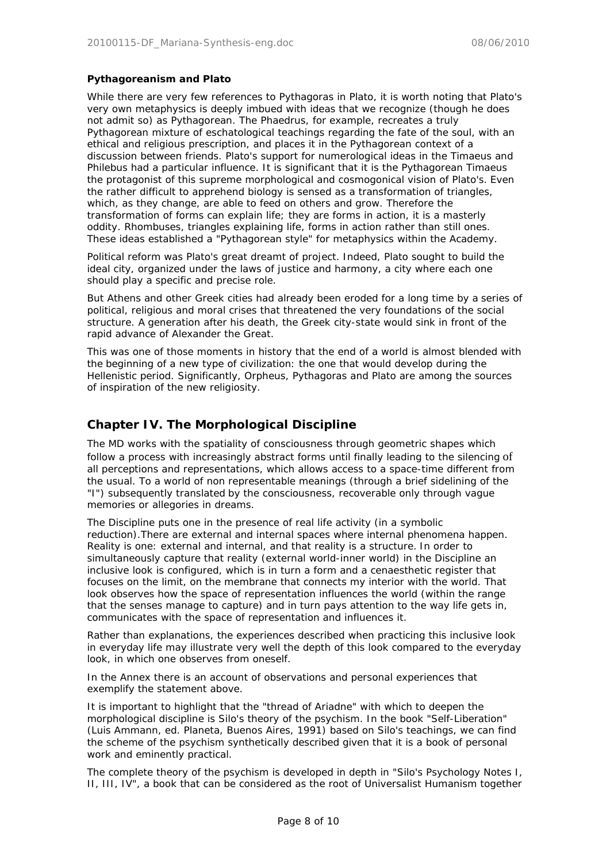## **Pythagoreanism and Plato**

While there are very few references to Pythagoras in Plato, it is worth noting that Plato's very own metaphysics is deeply imbued with ideas that we recognize (though he does not admit so) as Pythagorean. The Phaedrus, for example, recreates a truly Pythagorean mixture of eschatological teachings regarding the fate of the soul, with an ethical and religious prescription, and places it in the Pythagorean context of a discussion between friends. Plato's support for numerological ideas in the Timaeus and Philebus had a particular influence. It is significant that it is the Pythagorean Timaeus the protagonist of this supreme morphological and cosmogonical vision of Plato's. Even the rather difficult to apprehend biology is sensed as a transformation of triangles, which, as they change, are able to feed on others and grow. Therefore the transformation of forms can explain life; they are forms in action, it is a masterly oddity. Rhombuses, triangles explaining life, forms in action rather than still ones. These ideas established a "Pythagorean style" for metaphysics within the Academy.

Political reform was Plato's great dreamt of project. Indeed, Plato sought to build the ideal city, organized under the laws of justice and harmony, a city where each one should play a specific and precise role.

But Athens and other Greek cities had already been eroded for a long time by a series of political, religious and moral crises that threatened the very foundations of the social structure. A generation after his death, the Greek city-state would sink in front of the rapid advance of Alexander the Great.

This was one of those moments in history that the end of a world is almost blended with the beginning of a new type of civilization: the one that would develop during the Hellenistic period. Significantly, Orpheus, Pythagoras and Plato are among the sources of inspiration of the new religiosity.

# **Chapter IV. The Morphological Discipline**

The MD works with the spatiality of consciousness through geometric shapes which follow a process with increasingly abstract forms until finally leading to the silencing of all perceptions and representations, which allows access to a space-time different from the usual. To a world of non representable meanings (through a brief sidelining of the "I") subsequently translated by the consciousness, recoverable only through vague memories or allegories in dreams.

The Discipline puts one in the presence of real life activity (in a symbolic reduction).There are external and internal spaces where internal phenomena happen. Reality is one: external and internal, and that reality is a structure. In order to simultaneously capture that reality (external world-inner world) in the Discipline an inclusive look is configured, which is in turn a form and a cenaesthetic register that focuses on the limit, on the membrane that connects my interior with the world. That look observes how the space of representation influences the world (within the range that the senses manage to capture) and in turn pays attention to the way life gets in, communicates with the space of representation and influences it.

Rather than explanations, the experiences described when practicing this inclusive look in everyday life may illustrate very well the depth of this look compared to the everyday look, in which one observes from oneself.

In the Annex there is an account of observations and personal experiences that exemplify the statement above.

It is important to highlight that the "thread of Ariadne" with which to deepen the morphological discipline is Silo's theory of the psychism. In the book "Self-Liberation" (Luis Ammann, ed. Planeta, Buenos Aires, 1991) based on Silo's teachings, we can find the scheme of the psychism synthetically described given that it is a book of personal work and eminently practical.

The complete theory of the psychism is developed in depth in "Silo's Psychology Notes I, II, III, IV", a book that can be considered as the root of Universalist Humanism together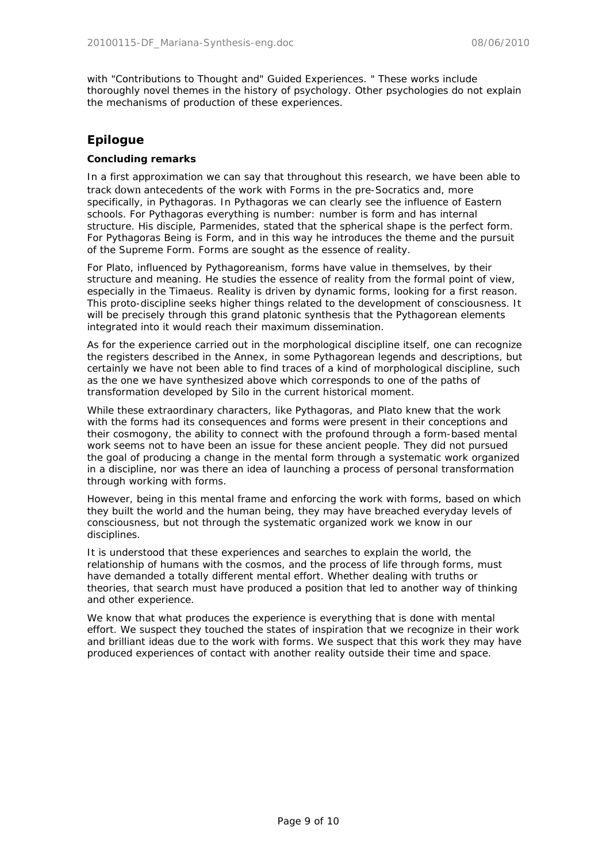with "Contributions to Thought and" Guided Experiences. " These works include thoroughly novel themes in the history of psychology. Other psychologies do not explain the mechanisms of production of these experiences.

# **Epilogue**

# **Concluding remarks**

In a first approximation we can say that throughout this research, we have been able to track down antecedents of the work with Forms in the pre-Socratics and, more specifically, in Pythagoras. In Pythagoras we can clearly see the influence of Eastern schools. For Pythagoras everything is number: number is form and has internal structure. His disciple, Parmenides, stated that the spherical shape is the perfect form. For Pythagoras Being is Form, and in this way he introduces the theme and the pursuit of the Supreme Form. Forms are sought as the essence of reality.

For Plato, influenced by Pythagoreanism, forms have value in themselves, by their structure and meaning. He studies the essence of reality from the formal point of view, especially in the Timaeus. Reality is driven by dynamic forms, looking for a first reason. This proto-discipline seeks higher things related to the development of consciousness. It will be precisely through this grand platonic synthesis that the Pythagorean elements integrated into it would reach their maximum dissemination.

As for the experience carried out in the morphological discipline itself, one can recognize the registers described in the Annex, in some Pythagorean legends and descriptions, but certainly we have not been able to find traces of a kind of morphological discipline, such as the one we have synthesized above which corresponds to one of the paths of transformation developed by Silo in the current historical moment.

While these extraordinary characters, like Pythagoras, and Plato knew that the work with the forms had its consequences and forms were present in their conceptions and their cosmogony, the ability to connect with the profound through a form-based mental work seems not to have been an issue for these ancient people. They did not pursued the goal of producing a change in the mental form through a systematic work organized in a discipline, nor was there an idea of launching a process of personal transformation through working with forms.

However, being in this mental frame and enforcing the work with forms, based on which they built the world and the human being, they may have breached everyday levels of consciousness, but not through the systematic organized work we know in our disciplines.

It is understood that these experiences and searches to explain the world, the relationship of humans with the cosmos, and the process of life through forms, must have demanded a totally different mental effort. Whether dealing with truths or theories, that search must have produced a position that led to another way of thinking and other experience.

We know that what produces the experience is everything that is done with mental effort. We suspect they touched the states of inspiration that we recognize in their work and brilliant ideas due to the work with forms. We suspect that this work they may have produced experiences of contact with another reality outside their time and space.